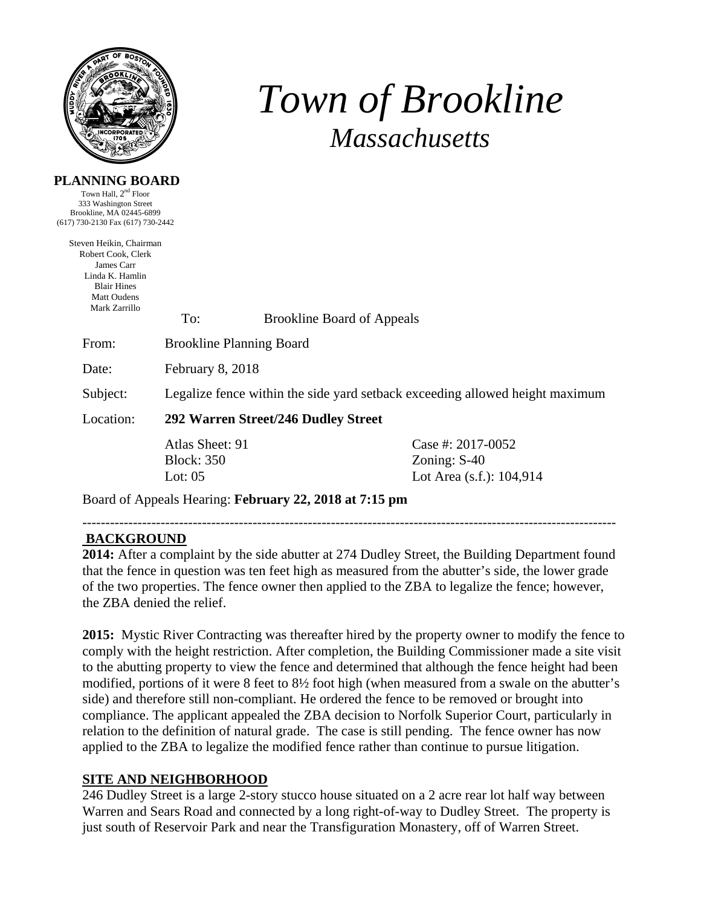

# *Town of Brookline Massachusetts*

#### **PLANNING BOARD**

Town Hall,  $2<sup>nd</sup>$  Floor 333 Washington Street Brookline, MA 02445-6899 (617) 730-2130 Fax (617) 730-2442

| Steven Heikin, Chairman       |                                                                              |                                   |                          |  |
|-------------------------------|------------------------------------------------------------------------------|-----------------------------------|--------------------------|--|
| Robert Cook, Clerk            |                                                                              |                                   |                          |  |
| James Carr<br>Linda K. Hamlin |                                                                              |                                   |                          |  |
| <b>Blair Hines</b>            |                                                                              |                                   |                          |  |
| <b>Matt Oudens</b>            |                                                                              |                                   |                          |  |
| Mark Zarrillo                 | To:                                                                          | <b>Brookline Board of Appeals</b> |                          |  |
| From:                         | <b>Brookline Planning Board</b>                                              |                                   |                          |  |
| Date:                         | February 8, 2018                                                             |                                   |                          |  |
| Subject:                      | Legalize fence within the side yard setback exceeding allowed height maximum |                                   |                          |  |
| Location:                     | 292 Warren Street/246 Dudley Street                                          |                                   |                          |  |
|                               | Atlas Sheet: 91                                                              |                                   | Case #: 2017-0052        |  |
|                               | <b>Block:</b> 350                                                            |                                   | Zoning: $S-40$           |  |
|                               | Lot: $05$                                                                    |                                   | Lot Area (s.f.): 104,914 |  |
|                               |                                                                              |                                   |                          |  |

Board of Appeals Hearing: **February 22, 2018 at 7:15 pm**

#### --------------------------------------------------------------------------------------------------------------------  **BACKGROUND**

**2014:** After a complaint by the side abutter at 274 Dudley Street, the Building Department found that the fence in question was ten feet high as measured from the abutter's side, the lower grade of the two properties. The fence owner then applied to the ZBA to legalize the fence; however, the ZBA denied the relief.

**2015:** Mystic River Contracting was thereafter hired by the property owner to modify the fence to comply with the height restriction. After completion, the Building Commissioner made a site visit to the abutting property to view the fence and determined that although the fence height had been modified, portions of it were 8 feet to 8½ foot high (when measured from a swale on the abutter's side) and therefore still non-compliant. He ordered the fence to be removed or brought into compliance. The applicant appealed the ZBA decision to Norfolk Superior Court, particularly in relation to the definition of natural grade. The case is still pending. The fence owner has now applied to the ZBA to legalize the modified fence rather than continue to pursue litigation.

## **SITE AND NEIGHBORHOOD**

246 Dudley Street is a large 2-story stucco house situated on a 2 acre rear lot half way between Warren and Sears Road and connected by a long right-of-way to Dudley Street. The property is just south of Reservoir Park and near the Transfiguration Monastery, off of Warren Street.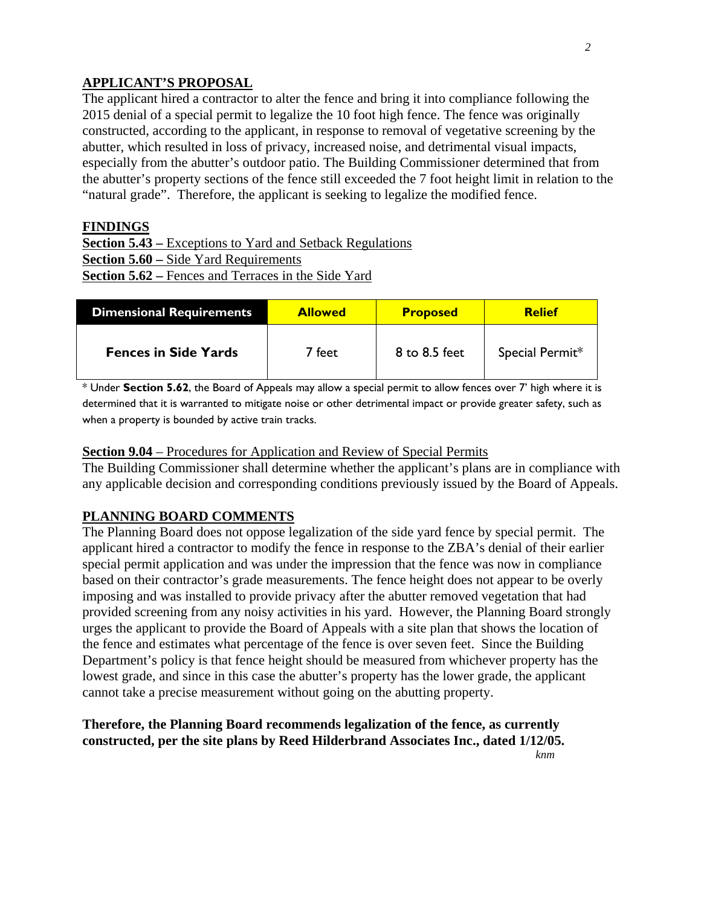## **APPLICANT'S PROPOSAL**

The applicant hired a contractor to alter the fence and bring it into compliance following the 2015 denial of a special permit to legalize the 10 foot high fence. The fence was originally constructed, according to the applicant, in response to removal of vegetative screening by the abutter, which resulted in loss of privacy, increased noise, and detrimental visual impacts, especially from the abutter's outdoor patio. The Building Commissioner determined that from the abutter's property sections of the fence still exceeded the 7 foot height limit in relation to the "natural grade". Therefore, the applicant is seeking to legalize the modified fence.

#### **FINDINGS**

**Section 5.43 –** Exceptions to Yard and Setback Regulations **Section 5.60 –** Side Yard Requirements **Section 5.62 –** Fences and Terraces in the Side Yard

| Dimensional Requirements    | <b>Allowed</b> | <b>Proposed</b> | <b>Relief</b>   |
|-----------------------------|----------------|-----------------|-----------------|
| <b>Fences in Side Yards</b> | 7 feet         | 8 to 8.5 feet   | Special Permit* |

\* Under **Section 5.62**, the Board of Appeals may allow a special permit to allow fences over 7' high where it is determined that it is warranted to mitigate noise or other detrimental impact or provide greater safety, such as when a property is bounded by active train tracks.

#### **Section 9.04** – Procedures for Application and Review of Special Permits

The Building Commissioner shall determine whether the applicant's plans are in compliance with any applicable decision and corresponding conditions previously issued by the Board of Appeals.

## **PLANNING BOARD COMMENTS**

The Planning Board does not oppose legalization of the side yard fence by special permit. The applicant hired a contractor to modify the fence in response to the ZBA's denial of their earlier special permit application and was under the impression that the fence was now in compliance based on their contractor's grade measurements. The fence height does not appear to be overly imposing and was installed to provide privacy after the abutter removed vegetation that had provided screening from any noisy activities in his yard. However, the Planning Board strongly urges the applicant to provide the Board of Appeals with a site plan that shows the location of the fence and estimates what percentage of the fence is over seven feet. Since the Building Department's policy is that fence height should be measured from whichever property has the lowest grade, and since in this case the abutter's property has the lower grade, the applicant cannot take a precise measurement without going on the abutting property.

## **Therefore, the Planning Board recommends legalization of the fence, as currently constructed, per the site plans by Reed Hilderbrand Associates Inc., dated 1/12/05.**